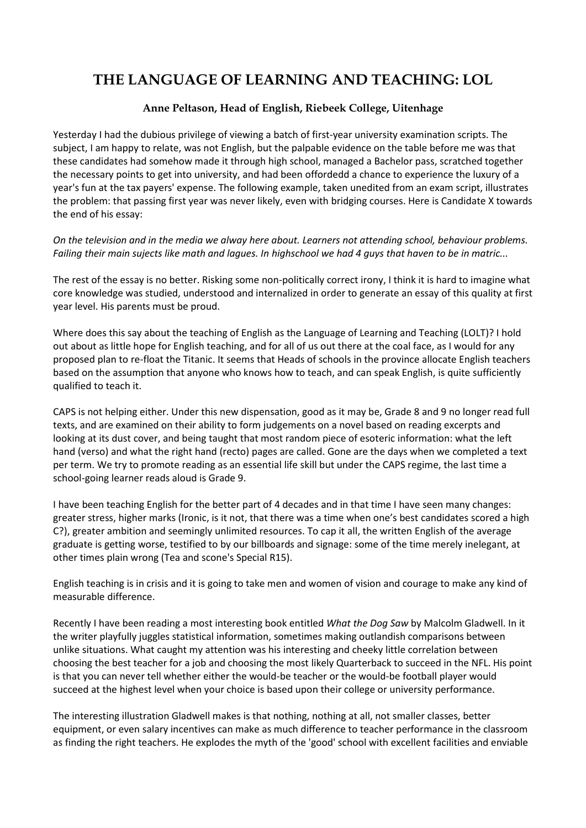## **THE LANGUAGE OF LEARNING AND TEACHING: LOL**

## **Anne Peltason, Head of English, Riebeek College, Uitenhage**

Yesterday I had the dubious privilege of viewing a batch of first-year university examination scripts. The subject, I am happy to relate, was not English, but the palpable evidence on the table before me was that these candidates had somehow made it through high school, managed a Bachelor pass, scratched together the necessary points to get into university, and had been offordedd a chance to experience the luxury of a year's fun at the tax payers' expense. The following example, taken unedited from an exam script, illustrates the problem: that passing first year was never likely, even with bridging courses. Here is Candidate X towards the end of his essay:

*On the television and in the media we alway here about. Learners not attending school, behaviour problems. Failing their main sujects like math and lagues. In highschool we had 4 guys that haven to be in matric...*

The rest of the essay is no better. Risking some non-politically correct irony, I think it is hard to imagine what core knowledge was studied, understood and internalized in order to generate an essay of this quality at first year level. His parents must be proud.

Where does this say about the teaching of English as the Language of Learning and Teaching (LOLT)? I hold out about as little hope for English teaching, and for all of us out there at the coal face, as I would for any proposed plan to re-float the Titanic. It seems that Heads of schools in the province allocate English teachers based on the assumption that anyone who knows how to teach, and can speak English, is quite sufficiently qualified to teach it.

CAPS is not helping either. Under this new dispensation, good as it may be, Grade 8 and 9 no longer read full texts, and are examined on their ability to form judgements on a novel based on reading excerpts and looking at its dust cover, and being taught that most random piece of esoteric information: what the left hand (verso) and what the right hand (recto) pages are called. Gone are the days when we completed a text per term. We try to promote reading as an essential life skill but under the CAPS regime, the last time a school-going learner reads aloud is Grade 9.

I have been teaching English for the better part of 4 decades and in that time I have seen many changes: greater stress, higher marks (Ironic, is it not, that there was a time when one's best candidates scored a high C?), greater ambition and seemingly unlimited resources. To cap it all, the written English of the average graduate is getting worse, testified to by our billboards and signage: some of the time merely inelegant, at other times plain wrong (Tea and scone's Special R15).

English teaching is in crisis and it is going to take men and women of vision and courage to make any kind of measurable difference.

Recently I have been reading a most interesting book entitled *What the Dog Saw* by Malcolm Gladwell. In it the writer playfully juggles statistical information, sometimes making outlandish comparisons between unlike situations. What caught my attention was his interesting and cheeky little correlation between choosing the best teacher for a job and choosing the most likely Quarterback to succeed in the NFL. His point is that you can never tell whether either the would-be teacher or the would-be football player would succeed at the highest level when your choice is based upon their college or university performance.

The interesting illustration Gladwell makes is that nothing, nothing at all, not smaller classes, better equipment, or even salary incentives can make as much difference to teacher performance in the classroom as finding the right teachers. He explodes the myth of the 'good' school with excellent facilities and enviable